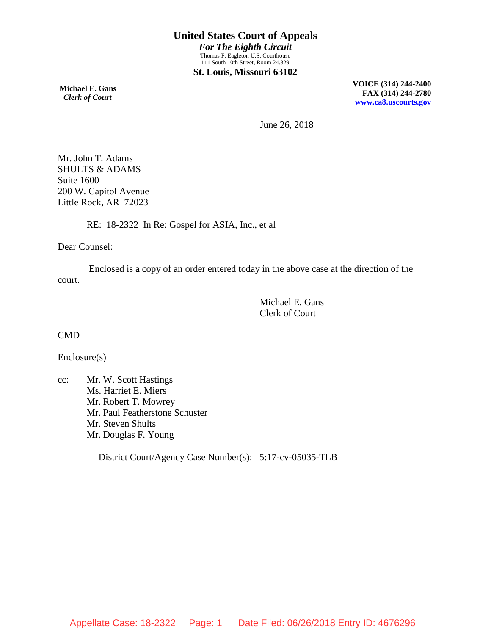**Michael E. Gans**  *Clerk of Court*

**VOICE (314) 244-2400 FAX (314) 244-2780 [www.ca8.uscourts.gov](http://www.ca8.uscourts.gov/)**

June 26, 2018

Mr. John T. Adams SHULTS & ADAMS Suite 1600 200 W. Capitol Avenue Little Rock, AR 72023

RE: 18-2322 In Re: Gospel for ASIA, Inc., et al

Dear Counsel:

Enclosed is a copy of an order entered today in the above case at the direction of the court.

> Michael E. Gans Clerk of Court

CMD

Enclosure(s)

cc: Mr. W. Scott Hastings Ms. Harriet E. Miers Mr. Robert T. Mowrey Mr. Paul Featherstone Schuster Mr. Steven Shults Mr. Douglas F. Young

District Court/Agency Case Number(s): 5:17-cv-05035-TLB